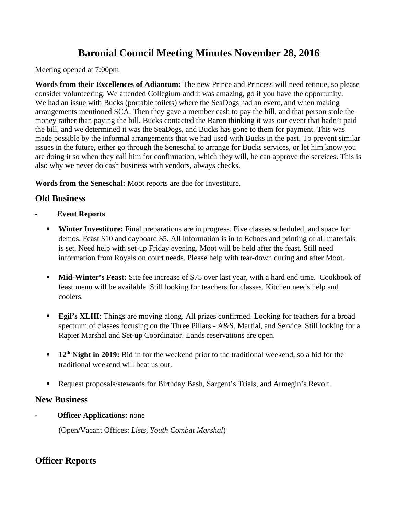# **Baronial Council Meeting Minutes November 28, 2016**

Meeting opened at 7:00pm

**Words from their Excellences of Adiantum:** The new Prince and Princess will need retinue, so please consider volunteering. We attended Collegium and it was amazing, go if you have the opportunity. We had an issue with Bucks (portable toilets) where the SeaDogs had an event, and when making arrangements mentioned SCA. Then they gave a member cash to pay the bill, and that person stole the money rather than paying the bill. Bucks contacted the Baron thinking it was our event that hadn't paid the bill, and we determined it was the SeaDogs, and Bucks has gone to them for payment. This was made possible by the informal arrangements that we had used with Bucks in the past. To prevent similar issues in the future, either go through the Seneschal to arrange for Bucks services, or let him know you are doing it so when they call him for confirmation, which they will, he can approve the services. This is also why we never do cash business with vendors, always checks.

**Words from the Seneschal:** Moot reports are due for Investiture.

## **Old Business**

- **Event Reports**
	- **Winter Investiture:** Final preparations are in progress. Five classes scheduled, and space for demos. Feast \$10 and dayboard \$5. All information is in to Echoes and printing of all materials is set. Need help with set-up Friday evening. Moot will be held after the feast. Still need information from Royals on court needs. Please help with tear-down during and after Moot.
	- **Mid-Winter's Feast:** Site fee increase of \$75 over last year, with a hard end time. Cookbook of feast menu will be available. Still looking for teachers for classes. Kitchen needs help and coolers.
	- **Egil's XLIII**: Things are moving along. All prizes confirmed. Looking for teachers for a broad spectrum of classes focusing on the Three Pillars - A&S, Martial, and Service. Still looking for a Rapier Marshal and Set-up Coordinator. Lands reservations are open.
	- **12th Night in 2019:** Bid in for the weekend prior to the traditional weekend, so a bid for the traditional weekend will beat us out.
	- Request proposals/stewards for Birthday Bash, Sargent's Trials, and Armegin's Revolt.

## **New Business**

**Officer Applications: none** 

(Open/Vacant Offices: *Lists, Youth Combat Marshal*)

## **Officer Reports**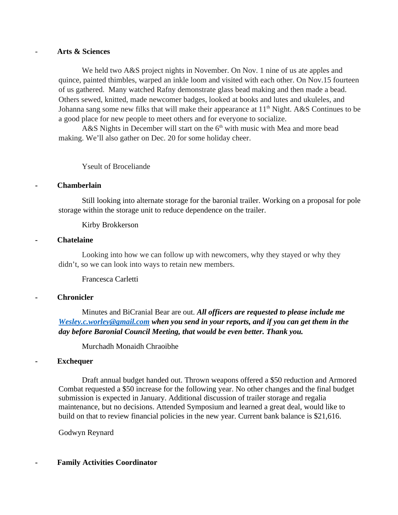#### - **Arts & Sciences**

We held two A&S project nights in November. On Nov. 1 nine of us ate apples and quince, painted thimbles, warped an inkle loom and visited with each other. On Nov.15 fourteen of us gathered. Many watched Rafny demonstrate glass bead making and then made a bead. Others sewed, knitted, made newcomer badges, looked at books and lutes and ukuleles, and Johanna sang some new filks that will make their appearance at  $11<sup>th</sup>$  Night. A&S Continues to be a good place for new people to meet others and for everyone to socialize.

A&S Nights in December will start on the  $6<sup>th</sup>$  with music with Mea and more bead making. We'll also gather on Dec. 20 for some holiday cheer.

Yseult of Broceliande

#### **- Chamberlain**

Still looking into alternate storage for the baronial trailer. Working on a proposal for pole storage within the storage unit to reduce dependence on the trailer.

Kirby Brokkerson

#### **- Chatelaine**

Looking into how we can follow up with newcomers, why they stayed or why they didn't, so we can look into ways to retain new members.

Francesca Carletti

#### **- Chronicler**

Minutes and BiCranial Bear are out. *All officers are requested to please include me [Wesley.c.worley@gmail.com](mailto:Wesley.c.worley@gmail.com) when you send in your reports, and if you can get them in the day before Baronial Council Meeting, that would be even better. Thank you.*

Murchadh Monaidh Chraoibhe

#### **- Exchequer**

Draft annual budget handed out. Thrown weapons offered a \$50 reduction and Armored Combat requested a \$50 increase for the following year. No other changes and the final budget submission is expected in January. Additional discussion of trailer storage and regalia maintenance, but no decisions. Attended Symposium and learned a great deal, would like to build on that to review financial policies in the new year. Current bank balance is \$21,616.

Godwyn Reynard

#### **- Family Activities Coordinator**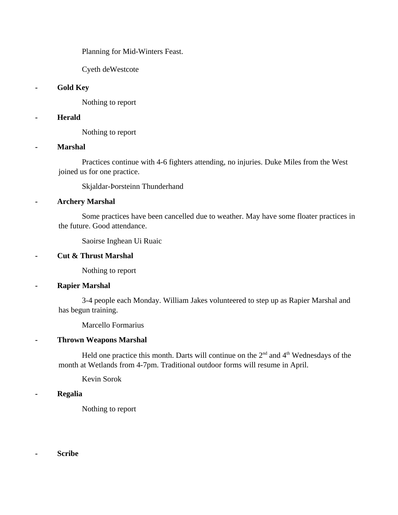Planning for Mid-Winters Feast.

Cyeth deWestcote

#### **- Gold Key**

Nothing to report

#### **- Herald**

Nothing to report

#### **- Marshal**

Practices continue with 4-6 fighters attending, no injuries. Duke Miles from the West joined us for one practice.

Skjaldar-Þorsteinn Thunderhand

## **- Archery Marshal**

Some practices have been cancelled due to weather. May have some floater practices in the future. Good attendance.

Saoirse Inghean Ui Ruaic

#### **- Cut & Thrust Marshal**

Nothing to report

## **- Rapier Marshal**

3-4 people each Monday. William Jakes volunteered to step up as Rapier Marshal and has begun training.

Marcello Formarius

## **- Thrown Weapons Marshal**

Held one practice this month. Darts will continue on the  $2<sup>nd</sup>$  and  $4<sup>th</sup>$  Wednesdays of the month at Wetlands from 4-7pm. Traditional outdoor forms will resume in April.

Kevin Sorok

#### **- Regalia**

Nothing to report

**- Scribe**